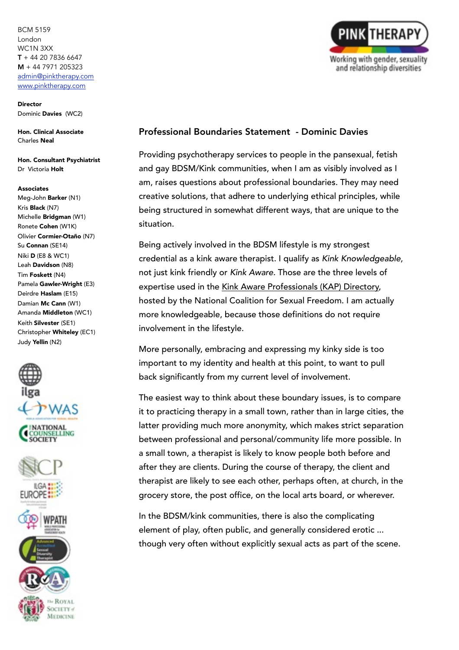**Director** Dominic Davies (WC2)

Hon. Clinical Associate Charles Neal

Hon. Consultant Psychiatrist Dr Victoria Holt

#### Associates

Meg-John Barker (N1) Kris Black (N7) Michelle Bridgman (W1) Ronete Cohen (W1K) Olivier Cormier-Otaño (N7) Su Connan (SE14) Niki D (E8 & WC1) Leah Davidson (N8) Tim Foskett (N4) Pamela Gawler-Wright (E3) Deirdre Haslam (E15) Damian Mc Cann (W1) Amanda Middleton (WC1) Keith Silvester (SE1) Christopher Whiteley (EC1) Judy Yellin (N2)



**ROYAL** OCIETY of MEDICINE

PINK THERA Working with gender, sexuality and relationship diversities

# Professional Boundaries Statement - Dominic Davies

Providing psychotherapy services to people in the pansexual, fetish and gay BDSM/Kink communities, when I am as visibly involved as I am, raises questions about professional boundaries. They may need creative solutions, that adhere to underlying ethical principles, while being structured in somewhat different ways, that are unique to the situation.

Being actively involved in the BDSM lifestyle is my strongest credential as a kink aware therapist. I qualify as *Kink Knowledgeable*, not just kink friendly or *Kink Aware*. Those are the three levels of expertise used in the [Kink Aware Professionals \(KAP\) Directory,](https://ncsfreedom.org/resources/kink-aware-professionals-directory/kap-directory-homepage.html) hosted by the National Coalition for Sexual Freedom. I am actually more knowledgeable, because those definitions do not require involvement in the lifestyle.

More personally, embracing and expressing my kinky side is too important to my identity and health at this point, to want to pull back significantly from my current level of involvement.

The easiest way to think about these boundary issues, is to compare it to practicing therapy in a small town, rather than in large cities, the latter providing much more anonymity, which makes strict separation between professional and personal/community life more possible. In a small town, a therapist is likely to know people both before and after they are clients. During the course of therapy, the client and therapist are likely to see each other, perhaps often, at church, in the grocery store, the post office, on the local arts board, or wherever.

In the BDSM/kink communities, there is also the complicating element of play, often public, and generally considered erotic ... though very often without explicitly sexual acts as part of the scene.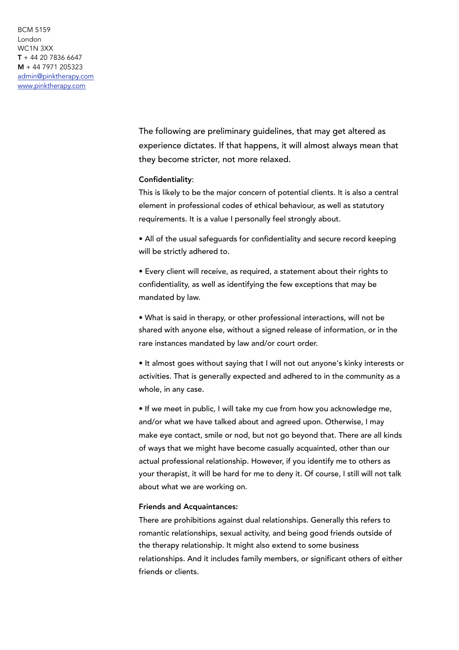> The following are preliminary guidelines, that may get altered as experience dictates. If that happens, it will almost always mean that they become stricter, not more relaxed.

## Confidentiality:

This is likely to be the major concern of potential clients. It is also a central element in professional codes of ethical behaviour, as well as statutory requirements. It is a value I personally feel strongly about.

• All of the usual safeguards for confidentiality and secure record keeping will be strictly adhered to.

• Every client will receive, as required, a statement about their rights to confidentiality, as well as identifying the few exceptions that may be mandated by law.

• What is said in therapy, or other professional interactions, will not be shared with anyone else, without a signed release of information, or in the rare instances mandated by law and/or court order.

• It almost goes without saying that I will not out anyone's kinky interests or activities. That is generally expected and adhered to in the community as a whole, in any case.

• If we meet in public, I will take my cue from how you acknowledge me, and/or what we have talked about and agreed upon. Otherwise, I may make eye contact, smile or nod, but not go beyond that. There are all kinds of ways that we might have become casually acquainted, other than our actual professional relationship. However, if you identify me to others as your therapist, it will be hard for me to deny it. Of course, I still will not talk about what we are working on.

#### Friends and Acquaintances:

There are prohibitions against dual relationships. Generally this refers to romantic relationships, sexual activity, and being good friends outside of the therapy relationship. It might also extend to some business relationships. And it includes family members, or significant others of either friends or clients.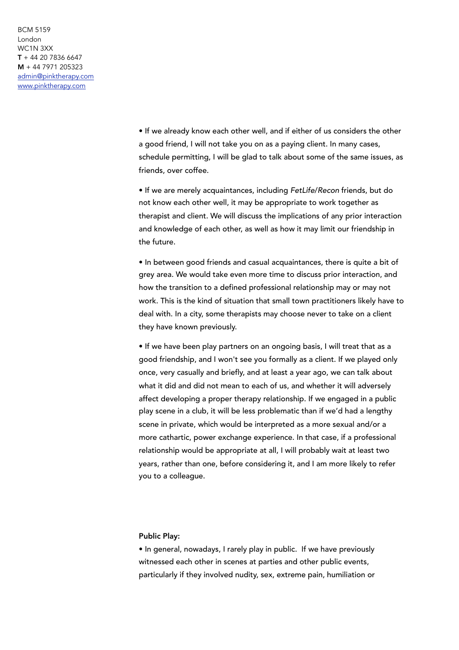> • If we already know each other well, and if either of us considers the other a good friend, I will not take you on as a paying client. In many cases, schedule permitting, I will be glad to talk about some of the same issues, as friends, over coffee.

> • If we are merely acquaintances, including *FetLife*/*Recon* friends, but do not know each other well, it may be appropriate to work together as therapist and client. We will discuss the implications of any prior interaction and knowledge of each other, as well as how it may limit our friendship in the future.

> • In between good friends and casual acquaintances, there is quite a bit of grey area. We would take even more time to discuss prior interaction, and how the transition to a defined professional relationship may or may not work. This is the kind of situation that small town practitioners likely have to deal with. In a city, some therapists may choose never to take on a client they have known previously.

• If we have been play partners on an ongoing basis, I will treat that as a good friendship, and I won't see you formally as a client. If we played only once, very casually and briefly, and at least a year ago, we can talk about what it did and did not mean to each of us, and whether it will adversely affect developing a proper therapy relationship. If we engaged in a public play scene in a club, it will be less problematic than if we'd had a lengthy scene in private, which would be interpreted as a more sexual and/or a more cathartic, power exchange experience. In that case, if a professional relationship would be appropriate at all, I will probably wait at least two years, rather than one, before considering it, and I am more likely to refer you to a colleague.

## Public Play:

• In general, nowadays, I rarely play in public. If we have previously witnessed each other in scenes at parties and other public events, particularly if they involved nudity, sex, extreme pain, humiliation or